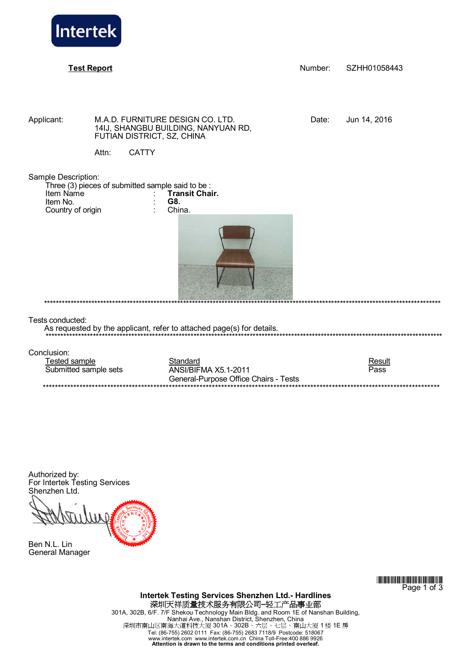

**Test Report** Number: SZHH01058443

Applicant: M.A.D. FURNITURE DESIGN CO. LTD. Date: Jun 14, 2016 14IJ, SHANGBU BUILDING, NANYUAN RD, FUTIAN DISTRICT, SZ, CHINA

\*\*\*\*\*\*\*\*\*\*\*\*\*\*\*\*\*\*\*\*\*\*\*\*\*\*\*\*\*\*\*\*\*\*\*\*\*\*\*\*\*\*\*\*\*\*\*\*\*\*\*\*\*\*\*\*\*\*\*\*\*\*\*\*\*\*\*\*\*\*\*\*\*\*\*\*\*\*\*\*\*\*\*\*\*\*\*\*\*\*\*\*\*\*\*\*\*\*\*\*\*\*\*\*\*\*\*\*\*\*\*\*\*\*\*\*\*\*\*\*\*\*\*\*\*\*\*\*\*\*\*\*\*\*

Attn: CATTY

Sample Description:

| Three (3) pieces of submitted sample said to be: |                       |
|--------------------------------------------------|-----------------------|
| Item Name                                        | <b>Transit Chair.</b> |
| Item No.                                         | G8.                   |
| Country of origin                                | China.                |



Tests conducted:

As requested by the applicant, refer to attached page(s) for details.

Conclusion:

| Fested sample         | Standard                              | Result |  |  |
|-----------------------|---------------------------------------|--------|--|--|
| Submitted sample sets | ANSI/BIFMA X5.1-2011                  | Pass   |  |  |
|                       | General-Purpose Office Chairs - Tests |        |  |  |
|                       |                                       |        |  |  |

Authorized by: For Intertek Testing Services Shenzhen Ltd.

Ben N.L. Lin General Manager

> \*ZHJ1058443\* Page 1 of 3

**Intertek Testing Services Shenzhen Ltd.- Hardlines**  深圳天祥质量技术服务有限公司**–**轻工产品事业部 301A, 302B, 6/F. 7/F Shekou Technology Main Bldg. and Room 1E of Nanshan Building, Nanhai Ave., Nanshan District, Shenzhen, China<br>深圳市南山区南海大道科技大厦 301A、302B、六层、七层、南山大厦 1 楼 1E 房 Tel: (86-755) 2602 0111 Fax: (86-755) 2683 7118/9 Postcode: 518067 www.intertek.com www.intertek.com.cn China Toll-Free:400 886 9926 **Attention is drawn to the terms and conditions printed overleaf.**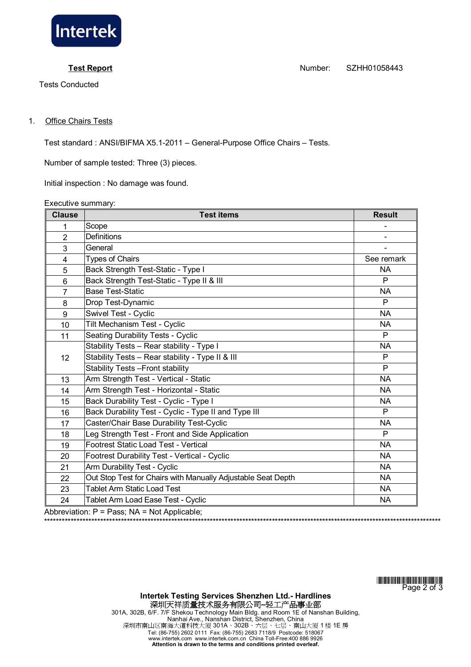

Tests Conducted

**Test Report** Number: SZHH01058443

## 1. Office Chairs Tests

Test standard : ANSI/BIFMA X5.1-2011 – General-Purpose Office Chairs – Tests.

Number of sample tested: Three (3) pieces.

Initial inspection : No damage was found.

Executive summary:

| <b>Clause</b>  | <b>Test items</b>                                            | <b>Result</b>  |
|----------------|--------------------------------------------------------------|----------------|
| 1              | Scope                                                        |                |
| $\overline{2}$ | <b>Definitions</b>                                           |                |
| 3              | General                                                      | $\blacksquare$ |
| 4              | <b>Types of Chairs</b>                                       | See remark     |
| 5              | Back Strength Test-Static - Type I                           | <b>NA</b>      |
| 6              | Back Strength Test-Static - Type II & III                    | P              |
| $\overline{7}$ | <b>Base Test-Static</b>                                      | <b>NA</b>      |
| 8              | Drop Test-Dynamic                                            | P              |
| 9              | Swivel Test - Cyclic                                         | <b>NA</b>      |
| 10             | <b>Tilt Mechanism Test - Cyclic</b>                          | <b>NA</b>      |
| 11             | <b>Seating Durability Tests - Cyclic</b>                     | P              |
|                | Stability Tests - Rear stability - Type I                    | <b>NA</b>      |
| 12             | Stability Tests - Rear stability - Type II & III             | P              |
|                | <b>Stability Tests - Front stability</b>                     | P              |
| 13             | Arm Strength Test - Vertical - Static                        | <b>NA</b>      |
| 14             | Arm Strength Test - Horizontal - Static                      | <b>NA</b>      |
| 15             | Back Durability Test - Cyclic - Type I                       | <b>NA</b>      |
| 16             | Back Durability Test - Cyclic - Type II and Type III         | P              |
| 17             | Caster/Chair Base Durability Test-Cyclic                     | <b>NA</b>      |
| 18             | Leg Strength Test - Front and Side Application               | P              |
| 19             | Footrest Static Load Test - Vertical                         | <b>NA</b>      |
| 20             | Footrest Durability Test - Vertical - Cyclic                 | <b>NA</b>      |
| 21             | Arm Durability Test - Cyclic                                 | <b>NA</b>      |
| 22             | Out Stop Test for Chairs with Manually Adjustable Seat Depth | <b>NA</b>      |
| 23             | Tablet Arm Static Load Test                                  | <b>NA</b>      |
| 24             | Tablet Arm Load Ease Test - Cyclic                           | <b>NA</b>      |

Abbreviation: P = Pass; NA = Not Applicable;

\*ZHJ1058443\* Page 2 of 3

\*\*\*\*\*\*\*\*\*\*\*\*\*\*\*\*\*\*\*\*\*\*\*\*\*\*\*\*\*\*\*\*\*\*\*\*\*\*\*\*\*\*\*\*\*\*\*\*\*\*\*\*\*\*\*\*\*\*\*\*\*\*\*\*\*\*\*\*\*\*\*\*\*\*\*\*\*\*\*\*\*\*\*\*\*\*\*\*\*\*\*\*\*\*\*\*\*\*\*\*\*\*\*\*\*\*\*\*\*\*\*\*\*\*\*\*\*\*\*\*\*\*\*\*\*\*\*\*\*\*\*\*\*\*

**Intertek Testing Services Shenzhen Ltd.- Hardlines**  深圳天祥质量技术服务有限公司**–**轻工产品事业部 301A, 302B, 6/F. 7/F Shekou Technology Main Bldg. and Room 1E of Nanshan Building, Nanhai Ave., Nanshan District, Shenzhen, China 深圳市南山区南海大道科技大厦 301A、302B、六层、七层、南山大厦 1 楼 1E 房 Tel: (86-755) 2602 0111 Fax: (86-755) 2683 7118/9 Postcode: 518067 www.intertek.com www.intertek.com.cn China Toll-Free:400 886 9926 **Attention is drawn to the terms and conditions printed overleaf.**